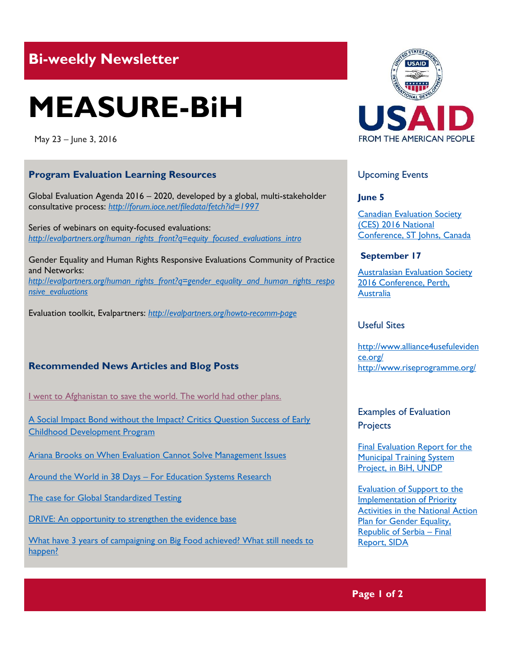# **Bi-weekly Newsletter**

# **MEASURE-BiH**

May 23 – June 3, 2016

#### **Program Evaluation Learning Resources**

Global Evaluation Agenda 2016 – 2020, developed by a global, multi-stakeholder consultative process: *<http://forum.ioce.net/filedata/fetch?id=1997>*

Series of webinars on equity-focused evaluations: *[http://evalpartners.org/human\\_rights\\_front?q=equity\\_focused\\_evaluations\\_intro](http://evalpartners.org/human_rights_front?q=equity_focused_evaluations_intro)*

Gender Equality and Human Rights Responsive Evaluations Community of Practice and Networks: *[http://evalpartners.org/human\\_rights\\_front?q=gender\\_equality\\_and\\_human\\_rights\\_respo](http://evalpartners.org/human_rights_front?q=gender_equality_and_human_rights_responsive_evaluations) [nsive\\_evaluations](http://evalpartners.org/human_rights_front?q=gender_equality_and_human_rights_responsive_evaluations)*

Evaluation toolkit, Evalpartners: *<http://evalpartners.org/howto-recomm-page>*

### **Recommended News Articles and Blog Posts**

[I went to Afghanistan to save the world. The world had other plans.](http://www.vox.com/2016/5/18/11692654/humanitarian-work-na%C3%AFve) 

[A Social Impact Bond without the Impact? Critics Question Success of Early](http://www.cgdev.org/blog/social-impact-bond-without-impact-critics-question-success-early-childhood-development-program)  [Childhood Development Program](http://www.cgdev.org/blog/social-impact-bond-without-impact-critics-question-success-early-childhood-development-program)

[Ariana Brooks on When Evaluation Cannot Solve Management Issues](http://aea365.org/blog/gov-tig-week-ariana-brooks-on-when-evaluation-cannot-solve-management-issues/)

Around the World in 38 Days – [For Education Systems Research](http://www.cgdev.org/blog/around-world-38-days-education-systems-research)

[The case for Global Standardized Testing](http://www.riseprogramme.org/content/case-global-standardized-testing)

[DRIVE: An opportunity to strengthen the evidence base](http://www.alliance4usefulevidence.org/drive-what-is-the-real-story/)

What have 3 years of campaigning on Big Food achieved? What still needs to [happen?](http://oxfamblogs.org/fp2p/what-have-3-years-of-campaigning-on-big-food-achieved-what-still-needs-to-happen/)



#### Upcoming Events

**June 5**

[Canadian Evaluation Society](http://mande.co.uk/conferences/?event_id1=25)  [\(CES\) 2016](http://mande.co.uk/conferences/?event_id1=25) National [Conference, ST Johns, Canada](http://mande.co.uk/conferences/?event_id1=25)

#### **September 17**

[Australasian Evaluation Society](http://mande.co.uk/conferences/?event_id1=24)  [2016 Conference, Perth,](http://mande.co.uk/conferences/?event_id1=24)  [Australia](http://mande.co.uk/conferences/?event_id1=24)

#### Useful Sites

[http://www.alliance4usefuleviden](http://www.alliance4usefulevidence.org/) [ce.org/](http://www.alliance4usefulevidence.org/) <http://www.riseprogramme.org/>

Examples of Evaluation **Projects** 

[Final Evaluation Report for the](http://erc.undp.org/evaluation/evaluations/detail/7820)  [Municipal Training System](http://erc.undp.org/evaluation/evaluations/detail/7820)  [Project, in BiH, UNDP](http://erc.undp.org/evaluation/evaluations/detail/7820)

[Evaluation of Support to the](http://www.sida.se/Svenska/Publikationer-och-bilder/publikationer/2014/september/evaluation-of-support-to-the-implementation-of-priority-activities-in-the-national-action-plan-for-gender-equality-republic-of/)  [Implementation of Priority](http://www.sida.se/Svenska/Publikationer-och-bilder/publikationer/2014/september/evaluation-of-support-to-the-implementation-of-priority-activities-in-the-national-action-plan-for-gender-equality-republic-of/)  [Activities in the National Action](http://www.sida.se/Svenska/Publikationer-och-bilder/publikationer/2014/september/evaluation-of-support-to-the-implementation-of-priority-activities-in-the-national-action-plan-for-gender-equality-republic-of/)  [Plan for Gender Equality,](http://www.sida.se/Svenska/Publikationer-och-bilder/publikationer/2014/september/evaluation-of-support-to-the-implementation-of-priority-activities-in-the-national-action-plan-for-gender-equality-republic-of/)  [Republic of Serbia](http://www.sida.se/Svenska/Publikationer-och-bilder/publikationer/2014/september/evaluation-of-support-to-the-implementation-of-priority-activities-in-the-national-action-plan-for-gender-equality-republic-of/) – Final [Report, SIDA](http://www.sida.se/Svenska/Publikationer-och-bilder/publikationer/2014/september/evaluation-of-support-to-the-implementation-of-priority-activities-in-the-national-action-plan-for-gender-equality-republic-of/)

**Page 1 of 2**